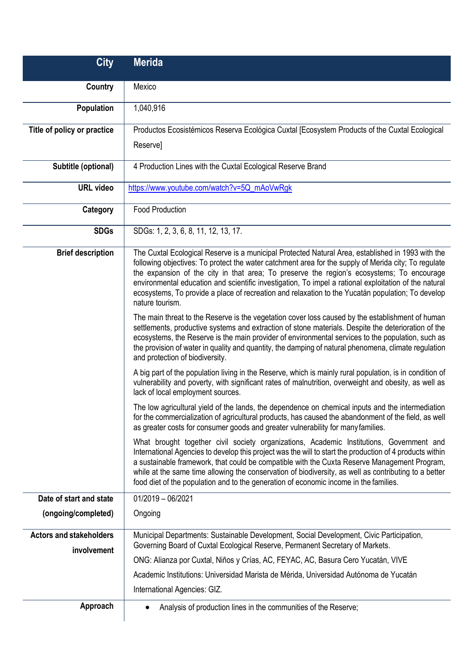| <b>City</b>                                   | <b>Merida</b>                                                                                                                                                                                                                                                                                                                                                                                                                                                                                                                           |
|-----------------------------------------------|-----------------------------------------------------------------------------------------------------------------------------------------------------------------------------------------------------------------------------------------------------------------------------------------------------------------------------------------------------------------------------------------------------------------------------------------------------------------------------------------------------------------------------------------|
| Country                                       | Mexico                                                                                                                                                                                                                                                                                                                                                                                                                                                                                                                                  |
| Population                                    | 1,040,916                                                                                                                                                                                                                                                                                                                                                                                                                                                                                                                               |
| Title of policy or practice                   | Productos Ecosistémicos Reserva Ecológica Cuxtal [Ecosystem Products of the Cuxtal Ecological                                                                                                                                                                                                                                                                                                                                                                                                                                           |
|                                               | Reserve]                                                                                                                                                                                                                                                                                                                                                                                                                                                                                                                                |
| Subtitle (optional)                           | 4 Production Lines with the Cuxtal Ecological Reserve Brand                                                                                                                                                                                                                                                                                                                                                                                                                                                                             |
| <b>URL video</b>                              | https://www.youtube.com/watch?v=5Q_mAoVwRgk                                                                                                                                                                                                                                                                                                                                                                                                                                                                                             |
| Category                                      | <b>Food Production</b>                                                                                                                                                                                                                                                                                                                                                                                                                                                                                                                  |
| <b>SDGs</b>                                   | SDGs: 1, 2, 3, 6, 8, 11, 12, 13, 17.                                                                                                                                                                                                                                                                                                                                                                                                                                                                                                    |
| <b>Brief description</b>                      | The Cuxtal Ecological Reserve is a municipal Protected Natural Area, established in 1993 with the<br>following objectives: To protect the water catchment area for the supply of Merida city; To regulate<br>the expansion of the city in that area; To preserve the region's ecosystems; To encourage<br>environmental education and scientific investigation, To impel a rational exploitation of the natural<br>ecosystems, To provide a place of recreation and relaxation to the Yucatán population; To develop<br>nature tourism. |
|                                               | The main threat to the Reserve is the vegetation cover loss caused by the establishment of human<br>settlements, productive systems and extraction of stone materials. Despite the deterioration of the<br>ecosystems, the Reserve is the main provider of environmental services to the population, such as<br>the provision of water in quality and quantity, the damping of natural phenomena, climate regulation<br>and protection of biodiversity.                                                                                 |
|                                               | A big part of the population living in the Reserve, which is mainly rural population, is in condition of<br>vulnerability and poverty, with significant rates of malnutrition, overweight and obesity, as well as<br>lack of local employment sources.                                                                                                                                                                                                                                                                                  |
|                                               | The low agricultural yield of the lands, the dependence on chemical inputs and the intermediation<br>for the commercialization of agricultural products, has caused the abandonment of the field, as well<br>as greater costs for consumer goods and greater vulnerability for many families.                                                                                                                                                                                                                                           |
|                                               | What brought together civil society organizations, Academic Institutions, Government and<br>International Agencies to develop this project was the will to start the production of 4 products within<br>a sustainable framework, that could be compatible with the Cuxta Reserve Management Program,<br>while at the same time allowing the conservation of biodiversity, as well as contributing to a better<br>food diet of the population and to the generation of economic income in the families.                                  |
| Date of start and state                       | $01/2019 - 06/2021$                                                                                                                                                                                                                                                                                                                                                                                                                                                                                                                     |
| (ongoing/completed)                           | Ongoing                                                                                                                                                                                                                                                                                                                                                                                                                                                                                                                                 |
| <b>Actors and stakeholders</b><br>involvement | Municipal Departments: Sustainable Development, Social Development, Civic Participation,                                                                                                                                                                                                                                                                                                                                                                                                                                                |
|                                               | Governing Board of Cuxtal Ecological Reserve, Permanent Secretary of Markets.<br>ONG: Alianza por Cuxtal, Niños y Crías, AC, FEYAC, AC, Basura Cero Yucatán, VIVE                                                                                                                                                                                                                                                                                                                                                                       |
|                                               | Academic Institutions: Universidad Marista de Mérida, Universidad Autónoma de Yucatán                                                                                                                                                                                                                                                                                                                                                                                                                                                   |
|                                               | International Agencies: GIZ.                                                                                                                                                                                                                                                                                                                                                                                                                                                                                                            |
| Approach                                      | Analysis of production lines in the communities of the Reserve;                                                                                                                                                                                                                                                                                                                                                                                                                                                                         |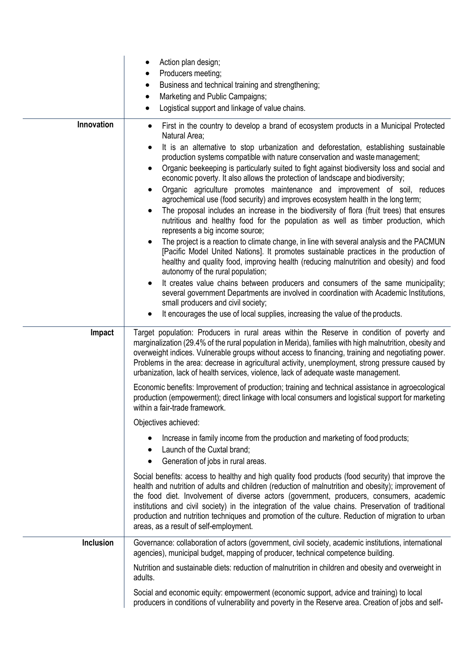|                  | Action plan design;<br>Producers meeting;<br>Business and technical training and strengthening;<br>$\bullet$<br>Marketing and Public Campaigns;<br>Logistical support and linkage of value chains.<br>$\bullet$                                                                                                                                                                                                                                                                                                                                                                                                                                                                                                                                                                                                                                                                                                                                                                                                                                                                                                                                                                                                                                                                                                                                                                                                                                             |
|------------------|-------------------------------------------------------------------------------------------------------------------------------------------------------------------------------------------------------------------------------------------------------------------------------------------------------------------------------------------------------------------------------------------------------------------------------------------------------------------------------------------------------------------------------------------------------------------------------------------------------------------------------------------------------------------------------------------------------------------------------------------------------------------------------------------------------------------------------------------------------------------------------------------------------------------------------------------------------------------------------------------------------------------------------------------------------------------------------------------------------------------------------------------------------------------------------------------------------------------------------------------------------------------------------------------------------------------------------------------------------------------------------------------------------------------------------------------------------------|
| Innovation       | First in the country to develop a brand of ecosystem products in a Municipal Protected<br>$\bullet$<br>Natural Area;<br>It is an alternative to stop urbanization and deforestation, establishing sustainable<br>$\bullet$<br>production systems compatible with nature conservation and waste management;<br>Organic beekeeping is particularly suited to fight against biodiversity loss and social and<br>٠<br>economic poverty. It also allows the protection of landscape and biodiversity;<br>Organic agriculture promotes maintenance and improvement of soil, reduces<br>٠<br>agrochemical use (food security) and improves ecosystem health in the long term;<br>The proposal includes an increase in the biodiversity of flora (fruit trees) that ensures<br>$\bullet$<br>nutritious and healthy food for the population as well as timber production, which<br>represents a big income source;<br>The project is a reaction to climate change, in line with several analysis and the PACMUN<br>[Pacific Model United Nations]. It promotes sustainable practices in the production of<br>healthy and quality food, improving health (reducing malnutrition and obesity) and food<br>autonomy of the rural population;<br>It creates value chains between producers and consumers of the same municipality;<br>٠<br>several government Departments are involved in coordination with Academic Institutions,<br>small producers and civil society; |
|                  | It encourages the use of local supplies, increasing the value of the products.                                                                                                                                                                                                                                                                                                                                                                                                                                                                                                                                                                                                                                                                                                                                                                                                                                                                                                                                                                                                                                                                                                                                                                                                                                                                                                                                                                              |
| Impact           | Target population: Producers in rural areas within the Reserve in condition of poverty and<br>marginalization (29.4% of the rural population in Merida), families with high malnutrition, obesity and<br>overweight indices. Vulnerable groups without access to financing, training and negotiating power.<br>Problems in the area: decrease in agricultural activity, unemployment, strong pressure caused by<br>urbanization, lack of health services, violence, lack of adequate waste management.                                                                                                                                                                                                                                                                                                                                                                                                                                                                                                                                                                                                                                                                                                                                                                                                                                                                                                                                                      |
|                  | Economic benefits: Improvement of production; training and technical assistance in agroecological<br>production (empowerment); direct linkage with local consumers and logistical support for marketing<br>within a fair-trade framework.                                                                                                                                                                                                                                                                                                                                                                                                                                                                                                                                                                                                                                                                                                                                                                                                                                                                                                                                                                                                                                                                                                                                                                                                                   |
|                  | Objectives achieved:                                                                                                                                                                                                                                                                                                                                                                                                                                                                                                                                                                                                                                                                                                                                                                                                                                                                                                                                                                                                                                                                                                                                                                                                                                                                                                                                                                                                                                        |
|                  | Increase in family income from the production and marketing of food products;<br>Launch of the Cuxtal brand;<br>Generation of jobs in rural areas.<br>٠                                                                                                                                                                                                                                                                                                                                                                                                                                                                                                                                                                                                                                                                                                                                                                                                                                                                                                                                                                                                                                                                                                                                                                                                                                                                                                     |
|                  | Social benefits: access to healthy and high quality food products (food security) that improve the<br>health and nutrition of adults and children (reduction of malnutrition and obesity); improvement of<br>the food diet. Involvement of diverse actors (government, producers, consumers, academic<br>institutions and civil society) in the integration of the value chains. Preservation of traditional<br>production and nutrition techniques and promotion of the culture. Reduction of migration to urban<br>areas, as a result of self-employment.                                                                                                                                                                                                                                                                                                                                                                                                                                                                                                                                                                                                                                                                                                                                                                                                                                                                                                 |
| <b>Inclusion</b> | Governance: collaboration of actors (government, civil society, academic institutions, international<br>agencies), municipal budget, mapping of producer, technical competence building.                                                                                                                                                                                                                                                                                                                                                                                                                                                                                                                                                                                                                                                                                                                                                                                                                                                                                                                                                                                                                                                                                                                                                                                                                                                                    |
|                  | Nutrition and sustainable diets: reduction of malnutrition in children and obesity and overweight in<br>adults.                                                                                                                                                                                                                                                                                                                                                                                                                                                                                                                                                                                                                                                                                                                                                                                                                                                                                                                                                                                                                                                                                                                                                                                                                                                                                                                                             |
|                  | Social and economic equity: empowerment (economic support, advice and training) to local<br>producers in conditions of vulnerability and poverty in the Reserve area. Creation of jobs and self-                                                                                                                                                                                                                                                                                                                                                                                                                                                                                                                                                                                                                                                                                                                                                                                                                                                                                                                                                                                                                                                                                                                                                                                                                                                            |